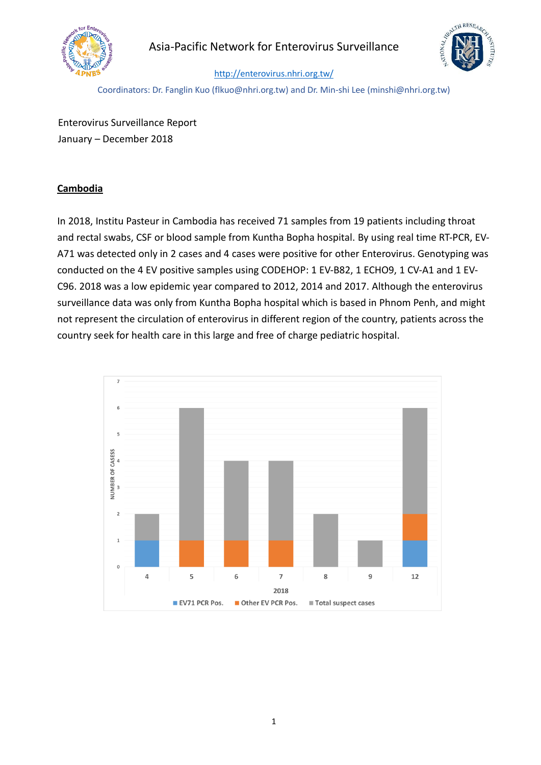

# Asia-Pacific Network for Enterovirus Surveillance



#### <http://enterovirus.nhri.org.tw/>

Coordinators: Dr. Fanglin Kuo (flkuo@nhri.org.tw) and Dr. Min-shi Lee (minshi@nhri.org.tw)

Enterovirus Surveillance Report January – December 2018

#### **Cambodia**

In 2018, Institu Pasteur in Cambodia has received 71 samples from 19 patients including throat and rectal swabs, CSF or blood sample from Kuntha Bopha hospital. By using real time RT-PCR, EV-A71 was detected only in 2 cases and 4 cases were positive for other Enterovirus. Genotyping was conducted on the 4 EV positive samples using CODEHOP: 1 EV-B82, 1 ECHO9, 1 CV-A1 and 1 EV-C96. 2018 was a low epidemic year compared to 2012, 2014 and 2017. Although the enterovirus surveillance data was only from Kuntha Bopha hospital which is based in Phnom Penh, and might not represent the circulation of enterovirus in different region of the country, patients across the country seek for health care in this large and free of charge pediatric hospital.

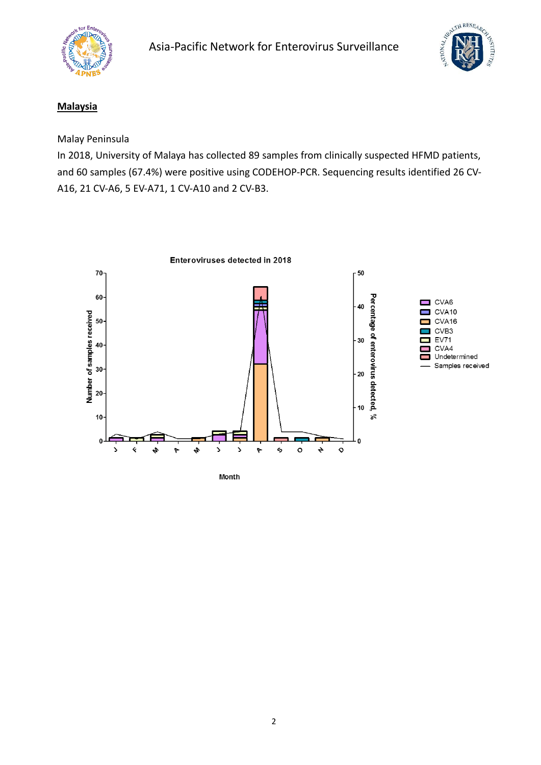



### **Malaysia**

### Malay Peninsula

In 2018, University of Malaya has collected 89 samples from clinically suspected HFMD patients, and 60 samples (67.4%) were positive using CODEHOP-PCR. Sequencing results identified 26 CV-A16, 21 CV-A6, 5 EV-A71, 1 CV-A10 and 2 CV-B3.

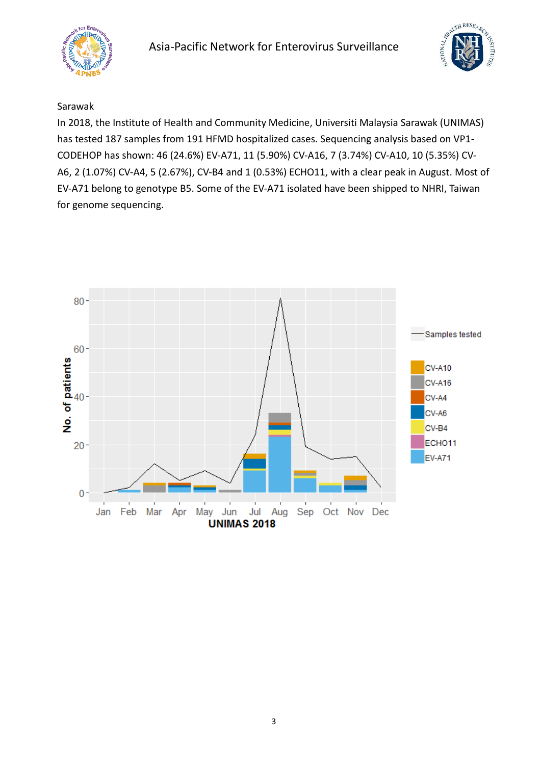



#### Sarawak

In 2018, the Institute of Health and Community Medicine, Universiti Malaysia Sarawak (UNIMAS) has tested 187 samples from 191 HFMD hospitalized cases. Sequencing analysis based on VP1- CODEHOP has shown: 46 (24.6%) EV-A71, 11 (5.90%) CV-A16, 7 (3.74%) CV-A10, 10 (5.35%) CV-A6, 2 (1.07%) CV-A4, 5 (2.67%), CV-B4 and 1 (0.53%) ECHO11, with a clear peak in August. Most of EV-A71 belong to genotype B5. Some of the EV-A71 isolated have been shipped to NHRI, Taiwan for genome sequencing.

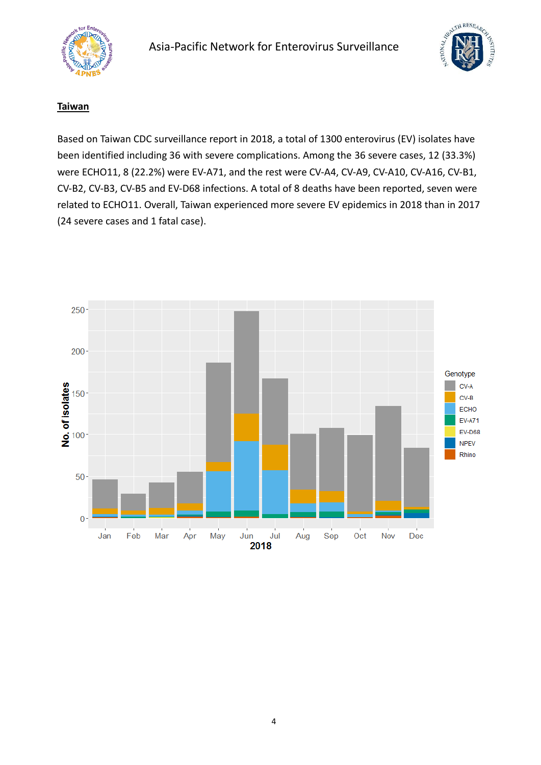



#### **Taiwan**

Based on Taiwan CDC surveillance report in 2018, a total of 1300 enterovirus (EV) isolates have been identified including 36 with severe complications. Among the 36 severe cases, 12 (33.3%) were ECHO11, 8 (22.2%) were EV-A71, and the rest were CV-A4, CV-A9, CV-A10, CV-A16, CV-B1, CV-B2, CV-B3, CV-B5 and EV-D68 infections. A total of 8 deaths have been reported, seven were related to ECHO11. Overall, Taiwan experienced more severe EV epidemics in 2018 than in 2017 (24 severe cases and 1 fatal case).

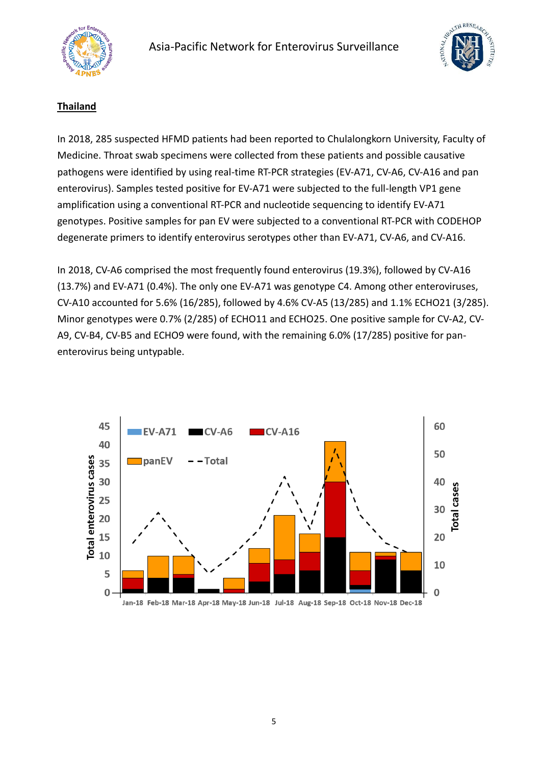



# **Thailand**

In 2018, 285 suspected HFMD patients had been reported to Chulalongkorn University, Faculty of Medicine. Throat swab specimens were collected from these patients and possible causative pathogens were identified by using real-time RT-PCR strategies (EV-A71, CV-A6, CV-A16 and pan enterovirus). Samples tested positive for EV-A71 were subjected to the full-length VP1 gene amplification using a conventional RT-PCR and nucleotide sequencing to identify EV-A71 genotypes. Positive samples for pan EV were subjected to a conventional RT-PCR with CODEHOP degenerate primers to identify enterovirus serotypes other than EV-A71, CV-A6, and CV-A16.

In 2018, CV-A6 comprised the most frequently found enterovirus (19.3%), followed by CV-A16 (13.7%) and EV-A71 (0.4%). The only one EV-A71 was genotype C4. Among other enteroviruses, CV-A10 accounted for 5.6% (16/285), followed by 4.6% CV-A5 (13/285) and 1.1% ECHO21 (3/285). Minor genotypes were 0.7% (2/285) of ECHO11 and ECHO25. One positive sample for CV-A2, CV-A9, CV-B4, CV-B5 and ECHO9 were found, with the remaining 6.0% (17/285) positive for panenterovirus being untypable.